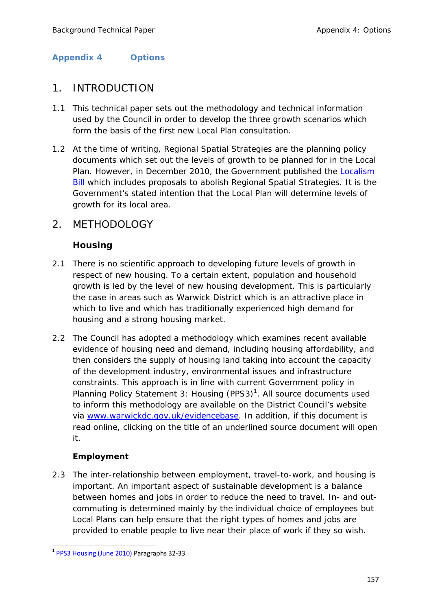## **Appendix 4 Options**

# 1. INTRODUCTION

- 1.1 This technical paper sets out the methodology and technical information used by the Council in order to develop the three growth scenarios which form the basis of the first new Local Plan consultation.
- 1.2 At the time of writing, Regional Spatial Strategies are the planning policy documents which set out the levels of growth to be planned for in the Local Plan. However, in December 2010, the Government published the Localism Bill which includes proposals to abolish Regional Spatial Strategies. It is the Government's stated intention that the Local Plan will determine levels of growth for its local area.

# 2. METHODOLOGY

# **Housing**

- 2.1 There is no scientific approach to developing future levels of growth in respect of new housing. To a certain extent, population and household growth is led by the level of new housing development. This is particularly the case in areas such as Warwick District which is an attractive place in which to live and which has traditionally experienced high demand for housing and a strong housing market.
- 2.2 The Council has adopted a methodology which examines recent available evidence of housing need and demand, including housing affordability, and then considers the supply of housing land taking into account the capacity of the development industry, environmental issues and infrastructure constraints. This approach is in line with current Government policy in Planning Policy Statement 3: Housing (PPS3) $<sup>1</sup>$ . All source documents used</sup> to inform this methodology are available on the District Council's website via www.warwickdc.gov.uk/evidencebase. In addition, if this document is read online, clicking on the title of an underlined source document will open it.

## **Employment**

2.3 The inter-relationship between employment, travel-to-work, and housing is important. An important aspect of sustainable development is a balance between homes and jobs in order to reduce the need to travel. In- and outcommuting is determined mainly by the individual choice of employees but Local Plans can help ensure that the right types of homes and jobs are provided to enable people to live near their place of work if they so wish.

 <sup>1</sup> PPS3 Housing (June 2010) Paragraphs 32-33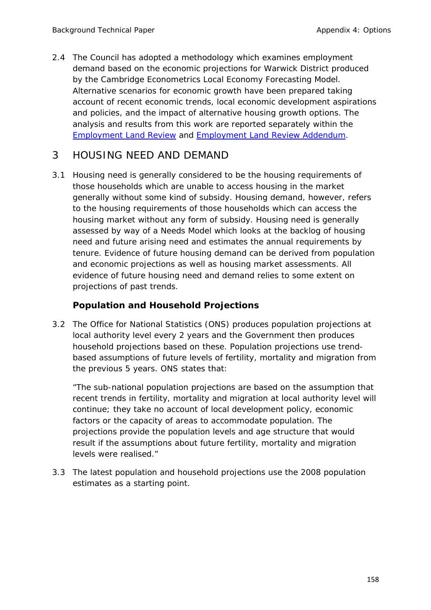2.4 The Council has adopted a methodology which examines employment demand based on the economic projections for Warwick District produced by the Cambridge Econometrics Local Economy Forecasting Model. Alternative scenarios for economic growth have been prepared taking account of recent economic trends, local economic development aspirations and policies, and the impact of alternative housing growth options. The analysis and results from this work are reported separately within the Employment Land Review and Employment Land Review Addendum.

# 3 HOUSING NEED AND DEMAND

3.1 Housing need is generally considered to be the housing requirements of those households which are unable to access housing in the market generally without some kind of subsidy. Housing demand, however, refers to the housing requirements of those households which can access the housing market without any form of subsidy. Housing need is generally assessed by way of a Needs Model which looks at the backlog of housing need and future arising need and estimates the annual requirements by tenure. Evidence of future housing demand can be derived from population and economic projections as well as housing market assessments. All evidence of future housing need and demand relies to some extent on projections of past trends.

# **Population and Household Projections**

3.2 The Office for National Statistics (ONS) produces population projections at local authority level every 2 years and the Government then produces household projections based on these. Population projections use trendbased assumptions of future levels of fertility, mortality and migration from the previous 5 years. ONS states that:

*"The sub-national population projections are based on the assumption that recent trends in fertility, mortality and migration at local authority level will continue; they take no account of local development policy, economic factors or the capacity of areas to accommodate population. The projections provide the population levels and age structure that would result if the assumptions about future fertility, mortality and migration levels were realised."* 

3.3 The latest population and household projections use the 2008 population estimates as a starting point.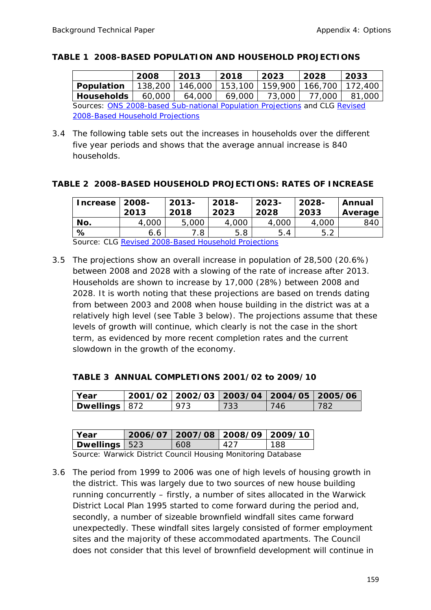#### **TABLE 1 2008-BASED POPULATION AND HOUSEHOLD PROJECTIONS**

|                                                                             | 2008   | 2013              | 2018 | 2023                                  | 2028   | 2033   |
|-----------------------------------------------------------------------------|--------|-------------------|------|---------------------------------------|--------|--------|
| <b>Population</b>                                                           |        | 138,200   146,000 |      | 153,100   159,900   166,700   172,400 |        |        |
| Households                                                                  | 60,000 | 64,000            |      | 69,000 73,000                         | 77,000 | 81.000 |
| Sources: ONS 2008-based Sub-national Population Projections and CLG Revised |        |                   |      |                                       |        |        |
| 2008-Based Household Projections                                            |        |                   |      |                                       |        |        |

3.4 The following table sets out the increases in households over the different five year periods and shows that the average annual increase is 840 households.

#### **TABLE 2 2008-BASED HOUSEHOLD PROJECTIONS: RATES OF INCREASE**

| Increase $\vert$ 2008-                               | 2013  | $2013 -$<br>2018 | $2018 -$<br>2023 | $2023-$<br>2028 | 2028-<br>2033 | Annual<br>Average |
|------------------------------------------------------|-------|------------------|------------------|-----------------|---------------|-------------------|
| No.                                                  | 4,000 | 5,000            | 4,000            | 4,000           | 4,000         | 840               |
| %                                                    | 6.6   | 7.8              | 5.8              | 5.4             | 5.2           |                   |
| Course: CLC Devised 2000 Besed Household Dreigations |       |                  |                  |                 |               |                   |

Source: CLG Revised 2008-Based Household Projections

3.5 The projections show an overall increase in population of 28,500 (20.6%) between 2008 and 2028 with a slowing of the rate of increase after 2013. Households are shown to increase by 17,000 (28%) between 2008 and 2028. It is worth noting that these projections are based on trends dating from between 2003 and 2008 when house building in the district was at a relatively high level (see Table 3 below). The projections assume that these levels of growth will continue, which clearly is not the case in the short term, as evidenced by more recent completion rates and the current slowdown in the growth of the economy.

### **TABLE 3 ANNUAL COMPLETIONS 2001/02 to 2009/10**

| l Year          | 2001/02   2002/03   2003/04   2004/05   2005/06 |     |      |     |
|-----------------|-------------------------------------------------|-----|------|-----|
| Dwellings   872 | 073                                             | 733 | 746. | 782 |

| Year                   |  | $2006/07$   2007/08   2008/09   2009/10 |     |     |
|------------------------|--|-----------------------------------------|-----|-----|
| <b>Dwellings</b>   523 |  | 608                                     | 427 | 188 |
|                        |  |                                         |     |     |

Source: Warwick District Council Housing Monitoring Database

3.6 The period from 1999 to 2006 was one of high levels of housing growth in the district. This was largely due to two sources of new house building running concurrently – firstly, a number of sites allocated in the Warwick District Local Plan 1995 started to come forward during the period and, secondly, a number of sizeable brownfield windfall sites came forward unexpectedly. These windfall sites largely consisted of former employment sites and the majority of these accommodated apartments. The Council does not consider that this level of brownfield development will continue in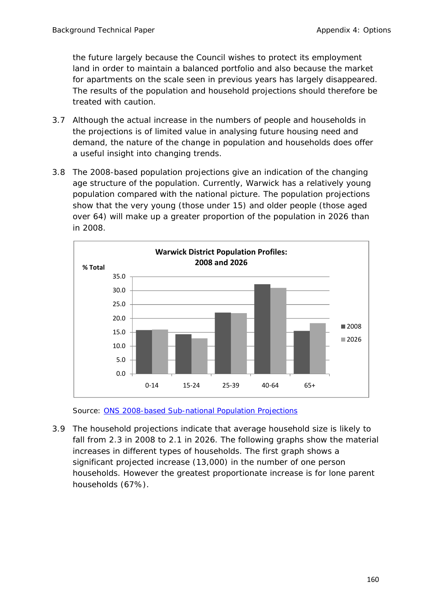the future largely because the Council wishes to protect its employment land in order to maintain a balanced portfolio and also because the market for apartments on the scale seen in previous years has largely disappeared. The results of the population and household projections should therefore be treated with caution.

- 3.7 Although the actual increase in the numbers of people and households in the projections is of limited value in analysing future housing need and demand, the nature of the change in population and households does offer a useful insight into changing trends.
- 3.8 The 2008-based population projections give an indication of the changing age structure of the population. Currently, Warwick has a relatively young population compared with the national picture. The population projections show that the very young (those under 15) and older people (those aged over 64) will make up a greater proportion of the population in 2026 than in 2008.



Source: ONS 2008-based Sub-national Population Projections

3.9 The household projections indicate that average household size is likely to fall from 2.3 in 2008 to 2.1 in 2026. The following graphs show the material increases in different types of households. The first graph shows a significant projected increase (13,000) in the number of one person households. However the greatest proportionate increase is for lone parent households (67%).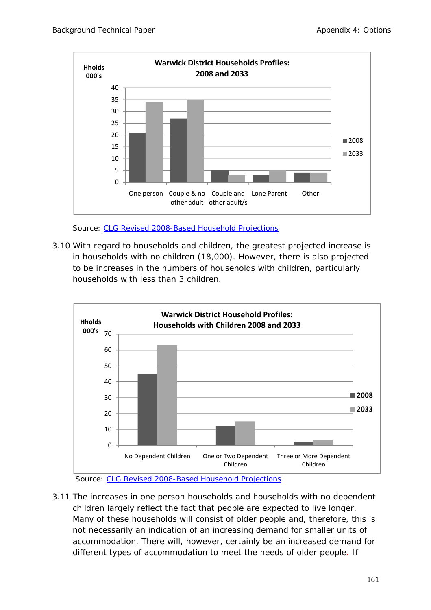

Source: CLG Revised 2008-Based Household Projections

3.10 With regard to households and children, the greatest projected increase is in households with no children (18,000). However, there is also projected to be increases in the numbers of households with children, particularly households with less than 3 children.



Source: CLG Revised 2008-Based Household Projections

3.11 The increases in one person households and households with no dependent children largely reflect the fact that people are expected to live longer. Many of these households will consist of older people and, therefore, this is not necessarily an indication of an increasing demand for smaller units of accommodation. There will, however, certainly be an increased demand for different types of accommodation to meet the needs of older people. If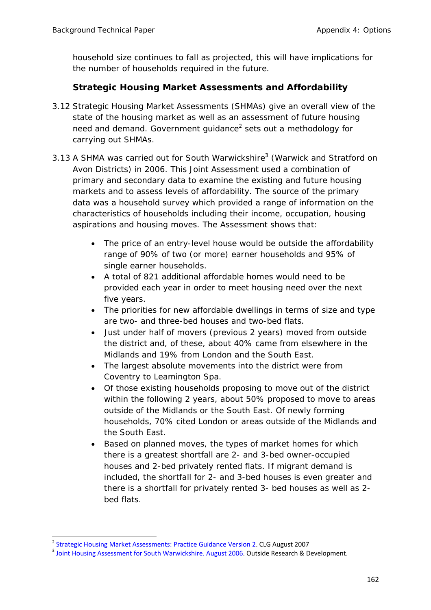household size continues to fall as projected, this will have implications for the number of households required in the future.

# **Strategic Housing Market Assessments and Affordability**

- 3.12 Strategic Housing Market Assessments (SHMAs) give an overall view of the state of the housing market as well as an assessment of future housing need and demand. Government guidance<sup>2</sup> sets out a methodology for carrying out SHMAs.
- 3.13 A SHMA was carried out for South Warwickshire<sup>3</sup> (Warwick and Stratford on Avon Districts) in 2006. This Joint Assessment used a combination of primary and secondary data to examine the existing and future housing markets and to assess levels of affordability. The source of the primary data was a household survey which provided a range of information on the characteristics of households including their income, occupation, housing aspirations and housing moves. The Assessment shows that:
	- The price of an entry-level house would be outside the affordability range of 90% of two (or more) earner households and 95% of single earner households.
	- A total of 821 additional affordable homes would need to be provided each year in order to meet housing need over the next five years.
	- The priorities for new affordable dwellings in terms of size and type are two- and three-bed houses and two-bed flats.
	- Just under half of movers (previous 2 years) moved from outside the district and, of these, about 40% came from elsewhere in the Midlands and 19% from London and the South East.
	- The largest absolute movements into the district were from Coventry to Leamington Spa.
	- Of those existing households proposing to move out of the district within the following 2 years, about 50% proposed to move to areas outside of the Midlands or the South East. Of newly forming households, 70% cited London or areas outside of the Midlands and the South East.
	- Based on planned moves, the types of market homes for which there is a greatest shortfall are 2- and 3-bed owner-occupied houses and 2-bed privately rented flats. If migrant demand is included, the shortfall for 2- and 3-bed houses is even greater and there is a shortfall for privately rented 3- bed houses as well as 2 bed flats.

<sup>&</sup>lt;sup>2</sup> Strategic Housing Market Assessments: Practice Guidance Version 2. CLG August 2007<br><sup>3</sup> Joint Housing Assessment for South Warwickshire. August 2006. Outside Research & Development.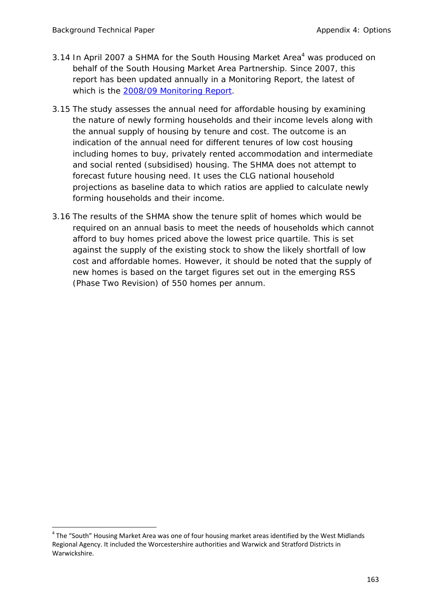- 3.14 In April 2007 a SHMA for the South Housing Market Area<sup>4</sup> was produced on behalf of the South Housing Market Area Partnership. Since 2007, this report has been updated annually in a Monitoring Report, the latest of which is the 2008/09 Monitoring Report.
- 3.15 The study assesses the annual need for affordable housing by examining the nature of newly forming households and their income levels along with the annual supply of housing by tenure and cost. The outcome is an indication of the annual need for different tenures of low cost housing including homes to buy, privately rented accommodation and intermediate and social rented (subsidised) housing. The SHMA does not attempt to forecast future housing need. It uses the CLG national household projections as baseline data to which ratios are applied to calculate newly forming households and their income.
- 3.16 The results of the SHMA show the tenure split of homes which would be required on an annual basis to meet the needs of households which cannot afford to buy homes priced above the lowest price quartile. This is set against the supply of the existing stock to show the likely shortfall of low cost and affordable homes. However, it should be noted that the supply of new homes is based on the target figures set out in the emerging RSS (Phase Two Revision) of 550 homes per annum.

 $4$  The "South" Housing Market Area was one of four housing market areas identified by the West Midlands Regional Agency. It included the Worcestershire authorities and Warwick and Stratford Districts in Warwickshire.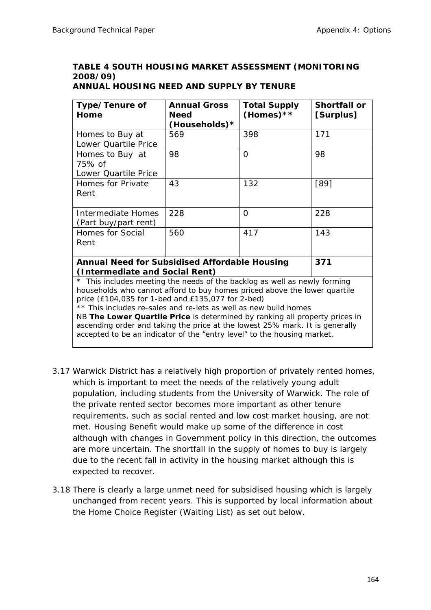# **TABLE 4 SOUTH HOUSING MARKET ASSESSMENT (MONITORING 2008/09)**

| Type/Tenure of<br>Home                                                                                                                                                                                                                                                                                                                                                                                                                                                                                                                                      | <b>Annual Gross</b><br><b>Need</b><br>(Households)* | <b>Total Supply</b><br>(Homes) ** | Shortfall or<br>[Surplus] |  |  |
|-------------------------------------------------------------------------------------------------------------------------------------------------------------------------------------------------------------------------------------------------------------------------------------------------------------------------------------------------------------------------------------------------------------------------------------------------------------------------------------------------------------------------------------------------------------|-----------------------------------------------------|-----------------------------------|---------------------------|--|--|
| Homes to Buy at<br>Lower Quartile Price                                                                                                                                                                                                                                                                                                                                                                                                                                                                                                                     | 569                                                 | 398                               | 171                       |  |  |
| Homes to Buy at<br>75% of<br>Lower Quartile Price                                                                                                                                                                                                                                                                                                                                                                                                                                                                                                           | 98                                                  | $\Omega$                          | 98                        |  |  |
| Homes for Private<br>Rent                                                                                                                                                                                                                                                                                                                                                                                                                                                                                                                                   | 43                                                  | 132                               | $[89]$                    |  |  |
| <b>Intermediate Homes</b><br>(Part buy/part rent)                                                                                                                                                                                                                                                                                                                                                                                                                                                                                                           | 228                                                 | $\Omega$                          | 228                       |  |  |
| Homes for Social<br>Rent                                                                                                                                                                                                                                                                                                                                                                                                                                                                                                                                    | 560                                                 | 417                               | 143                       |  |  |
| <b>Annual Need for Subsidised Affordable Housing</b>                                                                                                                                                                                                                                                                                                                                                                                                                                                                                                        |                                                     |                                   | 371                       |  |  |
| (Intermediate and Social Rent)<br>* This includes meeting the needs of the backlog as well as newly forming<br>households who cannot afford to buy homes priced above the lower quartile<br>price (£104,035 for 1-bed and £135,077 for 2-bed)<br>** This includes re-sales and re-lets as well as new build homes<br>NB The Lower Quartile Price is determined by ranking all property prices in<br>ascending order and taking the price at the lowest 25% mark. It is generally<br>accepted to be an indicator of the "entry level" to the housing market. |                                                     |                                   |                           |  |  |

### **ANNUAL HOUSING NEED AND SUPPLY BY TENURE**

- 3.17 Warwick District has a relatively high proportion of privately rented homes, which is important to meet the needs of the relatively young adult population, including students from the University of Warwick. The role of the private rented sector becomes more important as other tenure requirements, such as social rented and low cost market housing, are not met. Housing Benefit would make up some of the difference in cost although with changes in Government policy in this direction, the outcomes are more uncertain. The shortfall in the supply of homes to buy is largely due to the recent fall in activity in the housing market although this is expected to recover.
- 3.18 There is clearly a large unmet need for subsidised housing which is largely unchanged from recent years. This is supported by local information about the Home Choice Register (Waiting List) as set out below.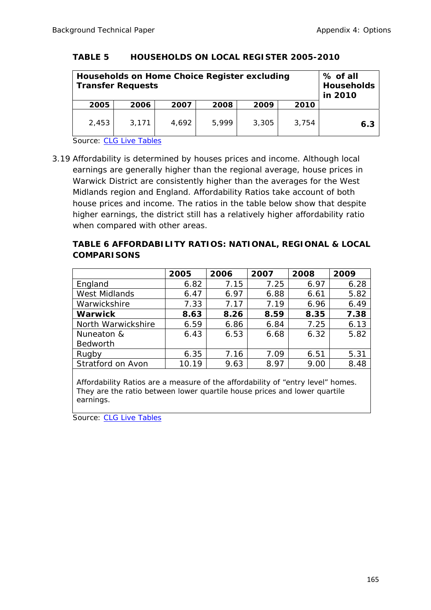#### **TABLE 5 HOUSEHOLDS ON LOCAL REGISTER 2005-2010**

| Households on Home Choice Register excluding<br><b>Transfer Requests</b> |       |       |       |       |       | % of all<br><b>Households</b><br>in 2010 |
|--------------------------------------------------------------------------|-------|-------|-------|-------|-------|------------------------------------------|
| 2005                                                                     | 2006  | 2007  | 2008  | 2009  | 2010  |                                          |
| 2,453                                                                    | 3,171 | 4,692 | 5,999 | 3,305 | 3,754 | 6.3                                      |

Source: CLG Live Tables

3.19 Affordability is determined by houses prices and income. Although local earnings are generally higher than the regional average, house prices in Warwick District are consistently higher than the averages for the West Midlands region and England. Affordability Ratios take account of both house prices and income. The ratios in the table below show that despite higher earnings, the district still has a relatively higher affordability ratio when compared with other areas.

### **TABLE 6 AFFORDABILITY RATIOS: NATIONAL, REGIONAL & LOCAL COMPARISONS**

|                      | 2005  | 2006 | 2007 | 2008 | 2009 |
|----------------------|-------|------|------|------|------|
| England              | 6.82  | 7.15 | 7.25 | 6.97 | 6.28 |
| <b>West Midlands</b> | 6.47  | 6.97 | 6.88 | 6.61 | 5.82 |
| Warwickshire         | 7.33  | 7.17 | 7.19 | 6.96 | 6.49 |
| <b>Warwick</b>       | 8.63  | 8.26 | 8.59 | 8.35 | 7.38 |
| North Warwickshire   | 6.59  | 6.86 | 6.84 | 7.25 | 6.13 |
| Nuneaton &           | 6.43  | 6.53 | 6.68 | 6.32 | 5.82 |
| <b>Bedworth</b>      |       |      |      |      |      |
| Rugby                | 6.35  | 7.16 | 7.09 | 6.51 | 5.31 |
| Stratford on Avon    | 10.19 | 9.63 | 8.97 | 9.00 | 8.48 |

Affordability Ratios are a measure of the affordability of "entry level" homes. They are the ratio between lower quartile house prices and lower quartile earnings.

Source: CLG Live Tables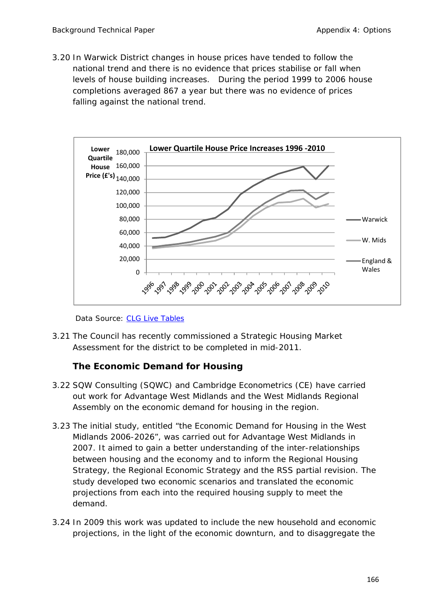3.20 In Warwick District changes in house prices have tended to follow the national trend and there is no evidence that prices stabilise or fall when levels of house building increases. During the period 1999 to 2006 house completions averaged 867 a year but there was no evidence of prices falling against the national trend.



Data Source: CLG Live Tables

3.21 The Council has recently commissioned a Strategic Housing Market Assessment for the district to be completed in mid-2011.

## **The Economic Demand for Housing**

- 3.22 SQW Consulting (SQWC) and Cambridge Econometrics (CE) have carried out work for Advantage West Midlands and the West Midlands Regional Assembly on the economic demand for housing in the region.
- 3.23 The initial study, entitled "the Economic Demand for Housing in the West Midlands 2006-2026", was carried out for Advantage West Midlands in 2007. It aimed to gain a better understanding of the inter-relationships between housing and the economy and to inform the Regional Housing Strategy, the Regional Economic Strategy and the RSS partial revision. The study developed two economic scenarios and translated the economic projections from each into the required housing supply to meet the demand.
- 3.24 In 2009 this work was updated to include the new household and economic projections, in the light of the economic downturn, and to disaggregate the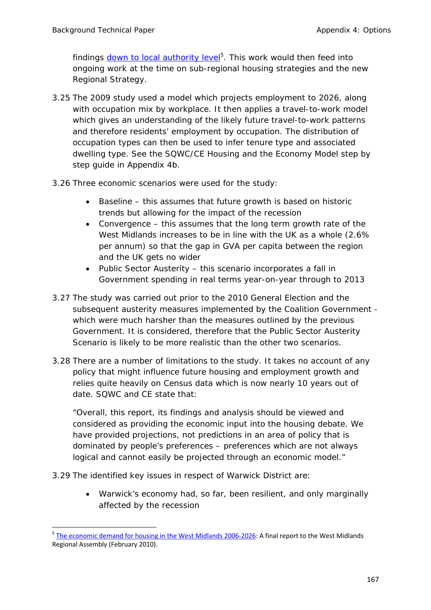findings **down to local authority level**<sup>5</sup>. This work would then feed into ongoing work at the time on sub-regional housing strategies and the new Regional Strategy.

- 3.25 The 2009 study used a model which projects employment to 2026, along with occupation mix by workplace. It then applies a travel-to-work model which gives an understanding of the likely future travel-to-work patterns and therefore residents' employment by occupation. The distribution of occupation types can then be used to infer tenure type and associated dwelling type. See the SQWC/CE Housing and the Economy Model step by step guide in Appendix 4b.
- 3.26 Three economic scenarios were used for the study:
	- Baseline this assumes that future growth is based on historic trends but allowing for the impact of the recession
	- Convergence this assumes that the long term growth rate of the West Midlands increases to be in line with the UK as a whole (2.6% per annum) so that the gap in GVA per capita between the region and the UK gets no wider
	- Public Sector Austerity this scenario incorporates a fall in Government spending in real terms year-on-year through to 2013
- 3.27 The study was carried out prior to the 2010 General Election and the subsequent austerity measures implemented by the Coalition Government which were much harsher than the measures outlined by the previous Government. It is considered, therefore that the Public Sector Austerity Scenario is likely to be more realistic than the other two scenarios.
- 3.28 There are a number of limitations to the study. It takes no account of any policy that might influence future housing and employment growth and relies quite heavily on Census data which is now nearly 10 years out of date. SQWC and CE state that:

*"Overall, this report, its findings and analysis should be viewed and considered as providing the economic input into the housing debate. We have provided projections, not predictions in an area of policy that is dominated by people's preferences – preferences which are not always logical and cannot easily be projected through an economic model."* 

3.29 The identified key issues in respect of Warwick District are:

 Warwick's economy had, so far, been resilient, and only marginally affected by the recession

<sup>5</sup> The economic demand for housing in the West Midlands 2006-2026: A final report to the West Midlands Regional Assembly (February 2010).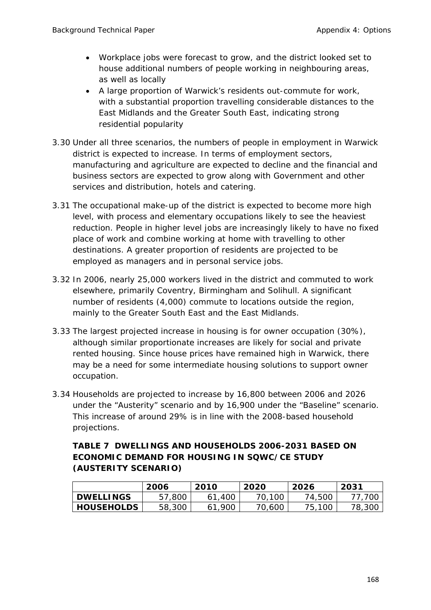- Workplace jobs were forecast to grow, and the district looked set to house additional numbers of people working in neighbouring areas, as well as locally
- A large proportion of Warwick's residents out-commute for work, with a substantial proportion travelling considerable distances to the East Midlands and the Greater South East, indicating strong residential popularity
- 3.30 Under all three scenarios, the numbers of people in employment in Warwick district is expected to increase. In terms of employment sectors, manufacturing and agriculture are expected to decline and the financial and business sectors are expected to grow along with Government and other services and distribution, hotels and catering.
- 3.31 The occupational make-up of the district is expected to become more high level, with process and elementary occupations likely to see the heaviest reduction. People in higher level jobs are increasingly likely to have no fixed place of work and combine working at home with travelling to other destinations. A greater proportion of residents are projected to be employed as managers and in personal service jobs.
- 3.32 In 2006, nearly 25,000 workers lived in the district and commuted to work elsewhere, primarily Coventry, Birmingham and Solihull. A significant number of residents (4,000) commute to locations outside the region, mainly to the Greater South East and the East Midlands.
- 3.33 The largest projected increase in housing is for owner occupation (30%), although similar proportionate increases are likely for social and private rented housing. Since house prices have remained high in Warwick, there may be a need for some intermediate housing solutions to support owner occupation.
- 3.34 Households are projected to increase by 16,800 between 2006 and 2026 under the "Austerity" scenario and by 16,900 under the "Baseline" scenario. This increase of around 29% is in line with the 2008-based household projections.

### **TABLE 7 DWELLINGS AND HOUSEHOLDS 2006-2031 BASED ON ECONOMIC DEMAND FOR HOUSING IN SQWC/CE STUDY (AUSTERITY SCENARIO)**

|                   | 2006   | 2010   | 2020   | 2026   | 2031   |
|-------------------|--------|--------|--------|--------|--------|
| <b>DWELLINGS</b>  | 57,800 | ,40C   | 70,100 | 74,500 | 70C    |
| <b>HOUSEHOLDS</b> | 58,300 | 61,900 | 70,600 | 75,100 | 78,30C |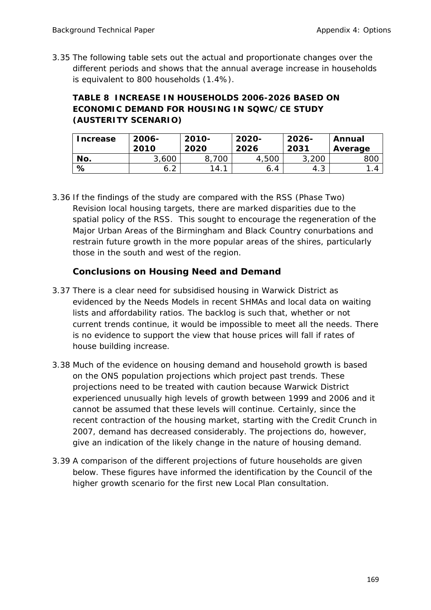3.35 The following table sets out the actual and proportionate changes over the different periods and shows that the annual average increase in households is equivalent to 800 households (1.4%).

# **TABLE 8 INCREASE IN HOUSEHOLDS 2006-2026 BASED ON ECONOMIC DEMAND FOR HOUSING IN SQWC/CE STUDY (AUSTERITY SCENARIO)**

| <b>Increase</b> | 2006-<br>2010 | 2010-<br>2020 | 2020-<br>2026 | $2026 -$<br>2031 | Annual<br>Average |
|-----------------|---------------|---------------|---------------|------------------|-------------------|
| No.             | 3,600         | 700           | 4,500         | 3,200            | 80C               |
| %               | $\sim$<br>6.Z | 14.           | 6.4           | - 4.ప            | . 4               |

3.36 If the findings of the study are compared with the RSS (Phase Two) Revision local housing targets, there are marked disparities due to the spatial policy of the RSS. This sought to encourage the regeneration of the Major Urban Areas of the Birmingham and Black Country conurbations and restrain future growth in the more popular areas of the shires, particularly those in the south and west of the region.

# **Conclusions on Housing Need and Demand**

- 3.37 There is a clear need for subsidised housing in Warwick District as evidenced by the Needs Models in recent SHMAs and local data on waiting lists and affordability ratios. The backlog is such that, whether or not current trends continue, it would be impossible to meet all the needs. There is no evidence to support the view that house prices will fall if rates of house building increase.
- 3.38 Much of the evidence on housing demand and household growth is based on the ONS population projections which project past trends. These projections need to be treated with caution because Warwick District experienced unusually high levels of growth between 1999 and 2006 and it cannot be assumed that these levels will continue. Certainly, since the recent contraction of the housing market, starting with the Credit Crunch in 2007, demand has decreased considerably. The projections do, however, give an indication of the likely change in the nature of housing demand.
- 3.39 A comparison of the different projections of future households are given below. These figures have informed the identification by the Council of the higher growth scenario for the first new Local Plan consultation.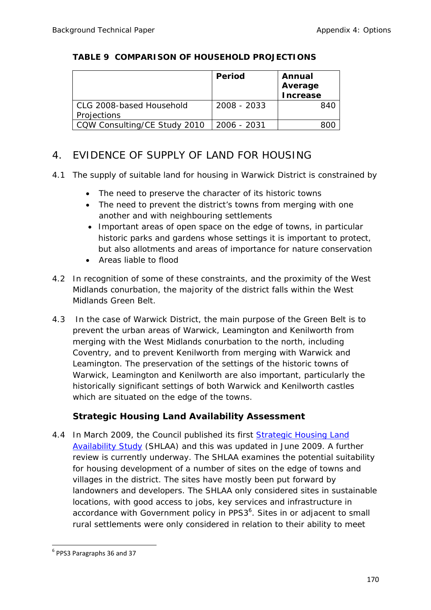### **TABLE 9 COMPARISON OF HOUSEHOLD PROJECTIONS**

|                              | Period      | Annual<br>Average |
|------------------------------|-------------|-------------------|
|                              |             | <b>Increase</b>   |
| CLG 2008-based Household     | 2008 - 2033 | 840               |
| Projections                  |             |                   |
| CQW Consulting/CE Study 2010 | 2006 - 2031 |                   |

# 4. EVIDENCE OF SUPPLY OF LAND FOR HOUSING

- 4.1 The supply of suitable land for housing in Warwick District is constrained by
	- The need to preserve the character of its historic towns
	- The need to prevent the district's towns from merging with one another and with neighbouring settlements
	- Important areas of open space on the edge of towns, in particular historic parks and gardens whose settings it is important to protect, but also allotments and areas of importance for nature conservation
	- Areas liable to flood
- 4.2 In recognition of some of these constraints, and the proximity of the West Midlands conurbation, the majority of the district falls within the West Midlands Green Belt.
- 4.3 In the case of Warwick District, the main purpose of the Green Belt is to prevent the urban areas of Warwick, Leamington and Kenilworth from merging with the West Midlands conurbation to the north, including Coventry, and to prevent Kenilworth from merging with Warwick and Leamington. The preservation of the settings of the historic towns of Warwick, Leamington and Kenilworth are also important, particularly the historically significant settings of both Warwick and Kenilworth castles which are situated on the edge of the towns.

# **Strategic Housing Land Availability Assessment**

4.4 In March 2009, the Council published its first Strategic Housing Land Availability Study (SHLAA) and this was updated in June 2009. A further review is currently underway. The SHLAA examines the potential suitability for housing development of a number of sites on the edge of towns and villages in the district. The sites have mostly been put forward by landowners and developers. The SHLAA only considered sites in sustainable locations, with good access to jobs, key services and infrastructure in accordance with Government policy in PPS $3<sup>6</sup>$ . Sites in or adjacent to small rural settlements were only considered in relation to their ability to meet

 <sup>6</sup> PPS3 Paragraphs 36 and 37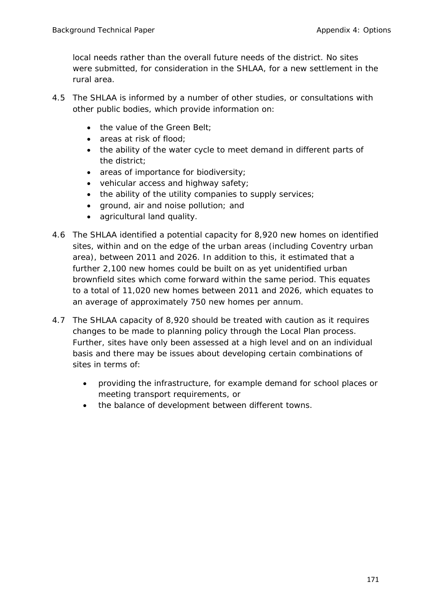local needs rather than the overall future needs of the district. No sites were submitted, for consideration in the SHLAA, for a new settlement in the rural area.

- 4.5 The SHLAA is informed by a number of other studies, or consultations with other public bodies, which provide information on:
	- the value of the Green Belt:
	- areas at risk of flood;
	- the ability of the water cycle to meet demand in different parts of the district;
	- areas of importance for biodiversity;
	- vehicular access and highway safety;
	- the ability of the utility companies to supply services;
	- ground, air and noise pollution; and
	- agricultural land quality.
- 4.6 The SHLAA identified a potential capacity for 8,920 new homes on identified sites, within and on the edge of the urban areas (including Coventry urban area), between 2011 and 2026. In addition to this, it estimated that a further 2,100 new homes could be built on as yet unidentified urban brownfield sites which come forward within the same period. This equates to a total of 11,020 new homes between 2011 and 2026, which equates to an average of approximately 750 new homes per annum.
- 4.7 The SHLAA capacity of 8,920 should be treated with caution as it requires changes to be made to planning policy through the Local Plan process. Further, sites have only been assessed at a high level and on an individual basis and there may be issues about developing certain combinations of sites in terms of:
	- providing the infrastructure, for example demand for school places or meeting transport requirements, or
	- the balance of development between different towns.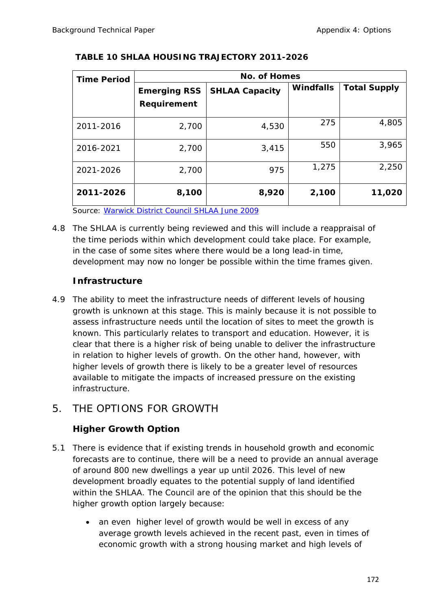| <b>Time Period</b> |                                    | <b>No. of Homes</b>   |                  |                     |  |  |  |  |
|--------------------|------------------------------------|-----------------------|------------------|---------------------|--|--|--|--|
|                    | <b>Emerging RSS</b><br>Requirement | <b>SHLAA Capacity</b> | <b>Windfalls</b> | <b>Total Supply</b> |  |  |  |  |
| 2011-2016          | 2,700                              | 4,530                 | 275              | 4,805               |  |  |  |  |
| 2016-2021          | 2,700                              | 3,415                 | 550              | 3,965               |  |  |  |  |
| 2021-2026          | 2,700                              | 975                   | 1,275            | 2,250               |  |  |  |  |
| 2011-2026          | 8,100                              | 8,920                 | 2,100            | 11,020              |  |  |  |  |

### **TABLE 10 SHLAA HOUSING TRAJECTORY 2011-2026**

Source: Warwick District Council SHLAA June 2009

4.8 The SHLAA is currently being reviewed and this will include a reappraisal of the time periods within which development could take place. For example, in the case of some sites where there would be a long lead-in time, development may now no longer be possible within the time frames given.

# **Infrastructure**

4.9 The ability to meet the infrastructure needs of different levels of housing growth is unknown at this stage. This is mainly because it is not possible to assess infrastructure needs until the location of sites to meet the growth is known. This particularly relates to transport and education. However, it is clear that there is a higher risk of being unable to deliver the infrastructure in relation to higher levels of growth. On the other hand, however, with higher levels of growth there is likely to be a greater level of resources available to mitigate the impacts of increased pressure on the existing infrastructure.

# 5. THE OPTIONS FOR GROWTH

# **Higher Growth Option**

- 5.1 There is evidence that if existing trends in household growth and economic forecasts are to continue, there will be a need to provide an annual average of around 800 new dwellings a year up until 2026. This level of new development broadly equates to the potential supply of land identified within the SHLAA. The Council are of the opinion that this should be the higher growth option largely because:
	- an even higher level of growth would be well in excess of any average growth levels achieved in the recent past, even in times of economic growth with a strong housing market and high levels of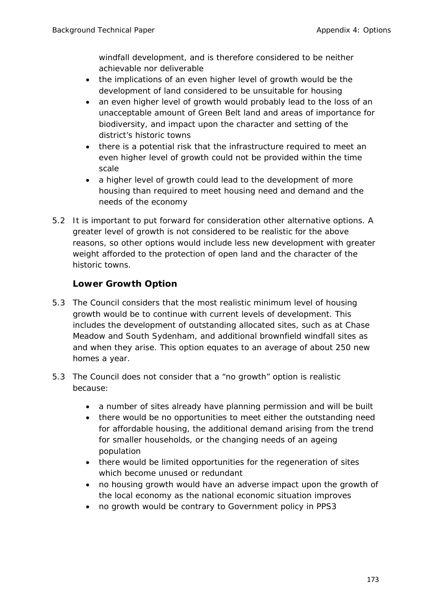windfall development, and is therefore considered to be neither achievable nor deliverable

- the implications of an even higher level of growth would be the development of land considered to be unsuitable for housing
- an even higher level of growth would probably lead to the loss of an unacceptable amount of Green Belt land and areas of importance for biodiversity, and impact upon the character and setting of the district's historic towns
- there is a potential risk that the infrastructure required to meet an even higher level of growth could not be provided within the time scale
- a higher level of growth could lead to the development of more housing than required to meet housing need and demand and the needs of the economy
- 5.2 It is important to put forward for consideration other alternative options. A greater level of growth is not considered to be realistic for the above reasons, so other options would include less new development with greater weight afforded to the protection of open land and the character of the historic towns.

# **Lower Growth Option**

- 5.3 The Council considers that the most realistic minimum level of housing growth would be to continue with current levels of development. This includes the development of outstanding allocated sites, such as at Chase Meadow and South Sydenham, and additional brownfield windfall sites as and when they arise. This option equates to an average of about 250 new homes a year.
- 5.3 The Council does not consider that a "no growth" option is realistic because:
	- a number of sites already have planning permission and will be built
	- there would be no opportunities to meet either the outstanding need for affordable housing, the additional demand arising from the trend for smaller households, or the changing needs of an ageing population
	- there would be limited opportunities for the regeneration of sites which become unused or redundant
	- no housing growth would have an adverse impact upon the growth of the local economy as the national economic situation improves
	- no growth would be contrary to Government policy in PPS3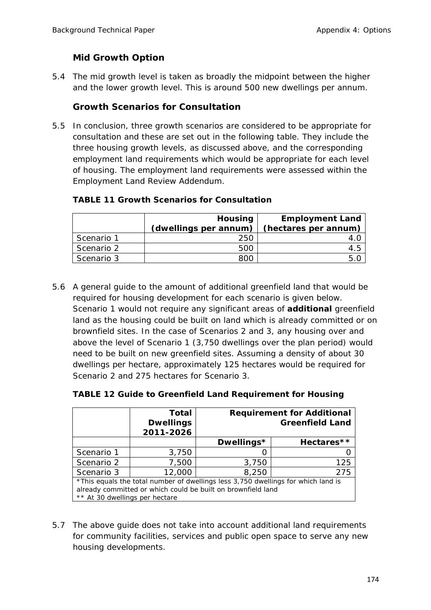# **Mid Growth Option**

5.4 The mid growth level is taken as broadly the midpoint between the higher and the lower growth level. This is around 500 new dwellings per annum.

## **Growth Scenarios for Consultation**

5.5 In conclusion, three growth scenarios are considered to be appropriate for consultation and these are set out in the following table. They include the three housing growth levels, as discussed above, and the corresponding employment land requirements which would be appropriate for each level of housing. The employment land requirements were assessed within the Employment Land Review Addendum.

| <b>TABLE 11 Growth Scenarios for Consultation</b> |
|---------------------------------------------------|
|                                                   |

|            | <b>Housing</b><br>(dwellings per annum) | <b>Employment Land</b><br>(hectares per annum) |
|------------|-----------------------------------------|------------------------------------------------|
| Scenario 1 | 250                                     |                                                |
| Scenario 2 | 500                                     |                                                |
| Scenario 3 | 800                                     |                                                |

5.6 A general guide to the amount of additional greenfield land that would be required for housing development for each scenario is given below. Scenario 1 would not require any significant areas of *additional* greenfield land as the housing could be built on land which is already committed or on brownfield sites. In the case of Scenarios 2 and 3, any housing over and above the level of Scenario 1 (3,750 dwellings over the plan period) would need to be built on new greenfield sites. Assuming a density of about 30 dwellings per hectare, approximately 125 hectares would be required for Scenario 2 and 275 hectares for Scenario 3.

|                                                                                                                                                                                     | <b>Total</b><br><b>Dwellings</b> | <b>Requirement for Additional</b><br><b>Greenfield Land</b> |            |  |
|-------------------------------------------------------------------------------------------------------------------------------------------------------------------------------------|----------------------------------|-------------------------------------------------------------|------------|--|
|                                                                                                                                                                                     | 2011-2026                        |                                                             |            |  |
|                                                                                                                                                                                     |                                  | Dwellings*                                                  | Hectares** |  |
| Scenario 1                                                                                                                                                                          | 3,750                            |                                                             |            |  |
| Scenario 2                                                                                                                                                                          | 7,500                            | 3,750                                                       | 125        |  |
| Scenario 3                                                                                                                                                                          | 12,000                           | 8,250                                                       | 275        |  |
| *This equals the total number of dwellings less 3,750 dwellings for which land is<br>already committed or which could be built on brownfield land<br>** At 30 dwellings per hectare |                                  |                                                             |            |  |

**TABLE 12 Guide to Greenfield Land Requirement for Housing** 

5.7 The above guide does not take into account additional land requirements for community facilities, services and public open space to serve any new housing developments.